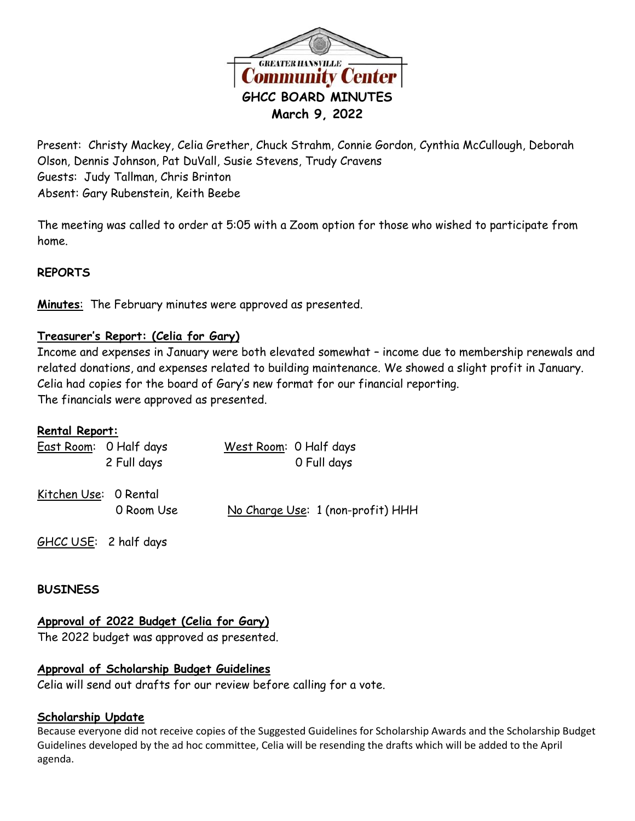

Present: Christy Mackey, Celia Grether, Chuck Strahm, Connie Gordon, Cynthia McCullough, Deborah Olson, Dennis Johnson, Pat DuVall, Susie Stevens, Trudy Cravens Guests: Judy Tallman, Chris Brinton Absent: Gary Rubenstein, Keith Beebe

The meeting was called to order at 5:05 with a Zoom option for those who wished to participate from home.

### **REPORTS**

**Minutes**: The February minutes were approved as presented.

## **Treasurer's Report: (Celia for Gary)**

Income and expenses in January were both elevated somewhat – income due to membership renewals and related donations, and expenses related to building maintenance. We showed a slight profit in January. Celia had copies for the board of Gary's new format for our financial reporting. The financials were approved as presented.

### **Rental Report:**

|                       | East Room: 0 Half days<br>2 Full days | West Room: 0 Half days<br>0 Full days |
|-----------------------|---------------------------------------|---------------------------------------|
| Kitchen Use: 0 Rental | 0 Room Use                            | No Charge Use: 1 (non-profit) HHH     |

GHCC USE: 2 half days

### **BUSINESS**

### **Approval of 2022 Budget (Celia for Gary)**

The 2022 budget was approved as presented.

### **Approval of Scholarship Budget Guidelines**

Celia will send out drafts for our review before calling for a vote.

### **Scholarship Update**

Because everyone did not receive copies of the Suggested Guidelines for Scholarship Awards and the Scholarship Budget Guidelines developed by the ad hoc committee, Celia will be resending the drafts which will be added to the April agenda.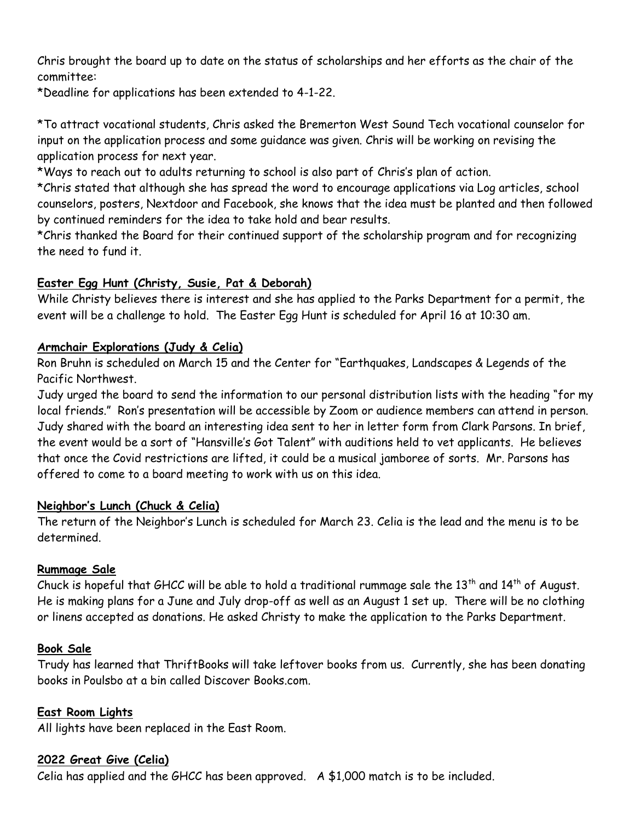Chris brought the board up to date on the status of scholarships and her efforts as the chair of the committee:

\*Deadline for applications has been extended to 4-1-22.

\*To attract vocational students, Chris asked the Bremerton West Sound Tech vocational counselor for input on the application process and some guidance was given. Chris will be working on revising the application process for next year.

\*Ways to reach out to adults returning to school is also part of Chris's plan of action.

\*Chris stated that although she has spread the word to encourage applications via Log articles, school counselors, posters, Nextdoor and Facebook, she knows that the idea must be planted and then followed by continued reminders for the idea to take hold and bear results.

\*Chris thanked the Board for their continued support of the scholarship program and for recognizing the need to fund it.

# **Easter Egg Hunt (Christy, Susie, Pat & Deborah)**

While Christy believes there is interest and she has applied to the Parks Department for a permit, the event will be a challenge to hold. The Easter Egg Hunt is scheduled for April 16 at 10:30 am.

## **Armchair Explorations (Judy & Celia)**

Ron Bruhn is scheduled on March 15 and the Center for "Earthquakes, Landscapes & Legends of the Pacific Northwest.

Judy urged the board to send the information to our personal distribution lists with the heading "for my local friends." Ron's presentation will be accessible by Zoom or audience members can attend in person. Judy shared with the board an interesting idea sent to her in letter form from Clark Parsons. In brief, the event would be a sort of "Hansville's Got Talent" with auditions held to vet applicants. He believes that once the Covid restrictions are lifted, it could be a musical jamboree of sorts. Mr. Parsons has offered to come to a board meeting to work with us on this idea.

## **Neighbor's Lunch (Chuck & Celia)**

The return of the Neighbor's Lunch is scheduled for March 23. Celia is the lead and the menu is to be determined.

## **Rummage Sale**

Chuck is hopeful that GHCC will be able to hold a traditional rummage sale the 13<sup>th</sup> and 14<sup>th</sup> of August. He is making plans for a June and July drop-off as well as an August 1 set up. There will be no clothing or linens accepted as donations. He asked Christy to make the application to the Parks Department.

# **Book Sale**

Trudy has learned that ThriftBooks will take leftover books from us. Currently, she has been donating books in Poulsbo at a bin called Discover Books.com.

## **East Room Lights**

All lights have been replaced in the East Room.

## **2022 Great Give (Celia)**

Celia has applied and the GHCC has been approved. A \$1,000 match is to be included.